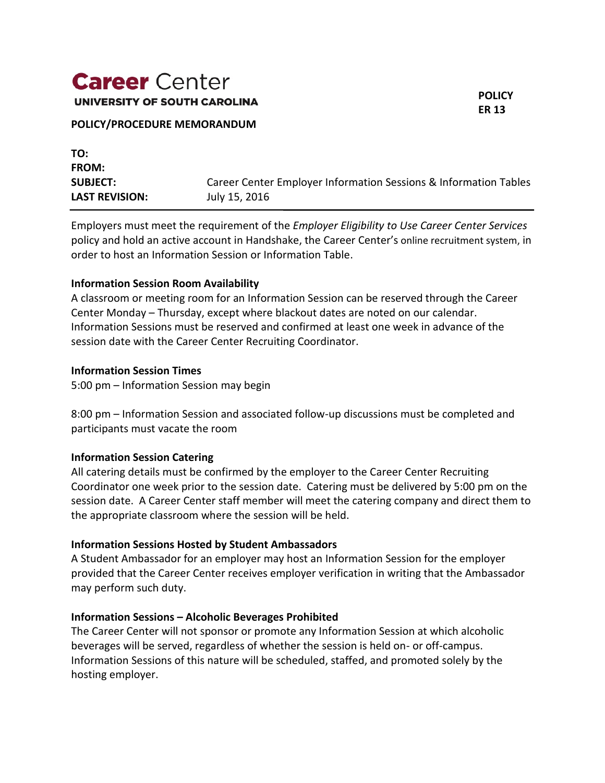# **Career** Center UNIVERSITY OF SOUTH CAROLINA

## **POLICY ER 13**

#### **POLICY/PROCEDURE MEMORANDUM**

| TO:                   |                                                                  |
|-----------------------|------------------------------------------------------------------|
| <b>FROM:</b>          |                                                                  |
| <b>SUBJECT:</b>       | Career Center Employer Information Sessions & Information Tables |
| <b>LAST REVISION:</b> | July 15, 2016                                                    |

Employers must meet the requirement of the *Employer Eligibility to Use Career Center Services* policy and hold an active account in Handshake, the Career Center's online recruitment system, in order to host an Information Session or Information Table.

#### **Information Session Room Availability**

A classroom or meeting room for an Information Session can be reserved through the Career Center Monday – Thursday, except where blackout dates are noted on our calendar. Information Sessions must be reserved and confirmed at least one week in advance of the session date with the Career Center Recruiting Coordinator.

#### **Information Session Times**

5:00 pm – Information Session may begin

8:00 pm – Information Session and associated follow-up discussions must be completed and participants must vacate the room

## **Information Session Catering**

All catering details must be confirmed by the employer to the Career Center Recruiting Coordinator one week prior to the session date. Catering must be delivered by 5:00 pm on the session date. A Career Center staff member will meet the catering company and direct them to the appropriate classroom where the session will be held.

## **Information Sessions Hosted by Student Ambassadors**

A Student Ambassador for an employer may host an Information Session for the employer provided that the Career Center receives employer verification in writing that the Ambassador may perform such duty.

## **Information Sessions – Alcoholic Beverages Prohibited**

The Career Center will not sponsor or promote any Information Session at which alcoholic beverages will be served, regardless of whether the session is held on- or off-campus. Information Sessions of this nature will be scheduled, staffed, and promoted solely by the hosting employer.